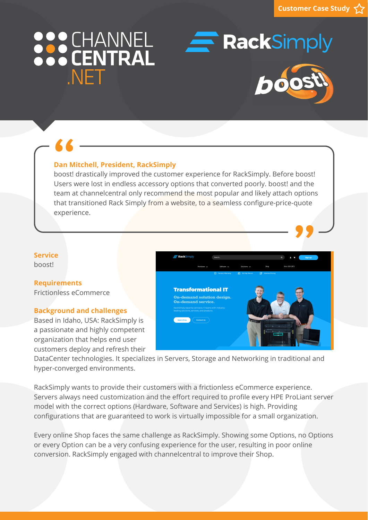# 888 CHANNEL NFT



**RackSimply** 

**"**

### **Dan Mitchell, President, RackSimply**

boost! drastically improved the customer experience for RackSimply. Before boost! Users were lost in endless accessory options that converted poorly. boost! and the team at channelcentral only recommend the most popular and likely attach options that transitioned Rack Simply from a website, to a seamless configure-price-quote experience. **66**<br>Dan M<br>boost!

#### **Service** boost!

**Requirements** Frictionless eCommerce

#### **Background and challenges**

Based in Idaho, USA: RackSimply is a passionate and highly competent organization that helps end user customers deploy and refresh their



DataCenter technologies. It specializes in Servers, Storage and Networking in traditional and hyper-converged environments.

RackSimply wants to provide their customers with a frictionless eCommerce experience. Servers always need customization and the effort required to profile every HPE ProLiant server model with the correct options (Hardware, Software and Services) is high. Providing configurations that are guaranteed to work is virtually impossible for a small organization.

Every online Shop faces the same challenge as RackSimply. Showing some Options, no Options or every Option can be a very confusing experience for the user, resulting in poor online conversion. RackSimply engaged with channelcentral to improve their Shop.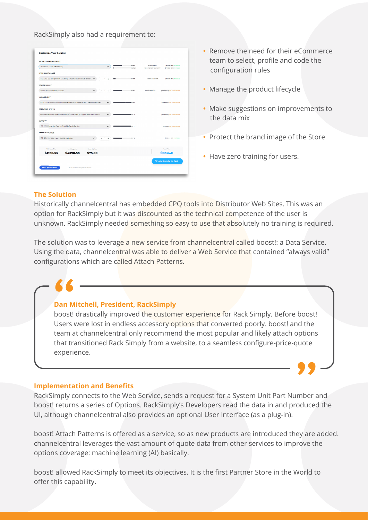RackSimply also had a requirement to:

| <b>PROCESSOR AND MEMORY</b>                        |                                                                               |              |              |               |                                            |                                                     |                                |
|----------------------------------------------------|-------------------------------------------------------------------------------|--------------|--------------|---------------|--------------------------------------------|-----------------------------------------------------|--------------------------------|
| 1 Processor and 16 CB Memory                       |                                                                               |              | $\check{~}$  | 10F2<br>10824 | <b>B CPU CORES</b><br>16CB MEMORY CAPACITY | [PI0938-821] IN STOCK<br><b>PO0920-B21 IN STOCK</b> |                                |
| <b>INTERNAL STORAGE</b>                            |                                                                               |              |              |               |                                            |                                                     |                                |
|                                                    | HPE 12TB 12C 10k rpm HPL SAS SFF 2.5in) Smart Carrier ENT 3 Year  V           |              |              |               | 1068                                       | 1200GB CAPACITY                                     | <b>1672479-821 IN STOCK</b>    |
| <b>POWER SUPPLY</b>                                |                                                                               |              |              |               |                                            |                                                     |                                |
| Choose From Available Options                      |                                                                               |              |              |               | 10 <sub>0</sub>                            | <b>BOOW CAPACITY</b>                                | (везон-вz) он влскопоев        |
| <b>MANAGEMENT</b>                                  |                                                                               |              |              |               |                                            |                                                     |                                |
|                                                    | HPE ILO Advanced Electronic License with 3yr Support on ILO Licensed Features |              | $\checkmark$ |               | 1071                                       |                                                     | <b>IDSUGAABE)</b> ON BACKORDER |
| <b>OPERATING SYSTEM</b>                            |                                                                               |              |              |               |                                            |                                                     |                                |
|                                                    | VMware eLicense vSphere Essentials w/3 Year (24 x 7) Support and Subscription |              |              |               | 11261                                      |                                                     | [BD707AAE] ON BACKORDER        |
| <b>SUPPORT</b>                                     |                                                                               |              |              |               |                                            |                                                     |                                |
| HPE 3 Year Proactive Care 24x7 ML350 GenI0 Service |                                                                               |              | $\checkmark$ |               | <b>Bases</b>                               |                                                     | [HSGF6E] ON BACKORDER          |
| <b>EXPANSION CARDS</b>                             |                                                                               |              |              |               |                                            |                                                     |                                |
| HPE Ethernet 10Gb 2-port 524SFP+ Adapter           |                                                                               |              |              |               | 120 <sup>2</sup>                           |                                                     | [P08446-B21] IN STOCK          |
| <b>Total Rase Price</b>                            | <b>Total Upgrades</b>                                                         | Assembly Fee |              |               |                                            |                                                     | <b>Total Price</b>             |
| \$1760.53                                          | \$4398.58                                                                     | \$75.00      |              |               |                                            |                                                     | \$6234.11                      |
|                                                    |                                                                               |              |              |               |                                            |                                                     | Add Bundle to Cart             |

- Remove the need for their eCommerce team to select, profile and code the configuration rules
- **•** Manage the product lifecycle
- **•** Make suggestions on improvements to the data mix
- **•** Protect the brand image of the Store

**"**

**•** Have zero training for users.

### **The Solution**

Historically channelcentral has embedded CPQ tools into Distributor Web Sites. This was an option for RackSimply but it was discounted as the technical competence of the user is unknown. RackSimply needed something so easy to use that absolutely no training is required.

The solution was to leverage a new service from channelcentral called boost!: a Data Service. Using the data, channelcentral was able to deliver a Web Service that contained "always valid" configurations which are called Attach Patterns.

#### **Dan Mitchell, President, RackSimply**

**6 6 Conserved the custom of the custom of the customer experience for Rack Simply. Before boost!<br>
<b>"** boost! drastically improved the customer experience for Rack Simply. Before boost! Users were lost in endless accessory options that converted poorly. boost! and the team at channelcentral only recommend the most popular and likely attach options that transitioned Rack Simply from a website, to a seamless configure-price-quote experience.

#### **Implementation and Benefits**

RackSimply connects to the Web Service, sends a request for a System Unit Part Number and boost! returns a series of Options. RackSimply's Developers read the data in and produced the UI, although channelcentral also provides an optional User Interface (as a plug-in).

boost! Attach Patterns is offered as a service, so as new products are introduced they are added. channelcentral leverages the vast amount of quote data from other services to improve the options coverage: machine learning (AI) basically.

boost! allowed RackSimply to meet its objectives. It is the first Partner Store in the World to offer this capability.